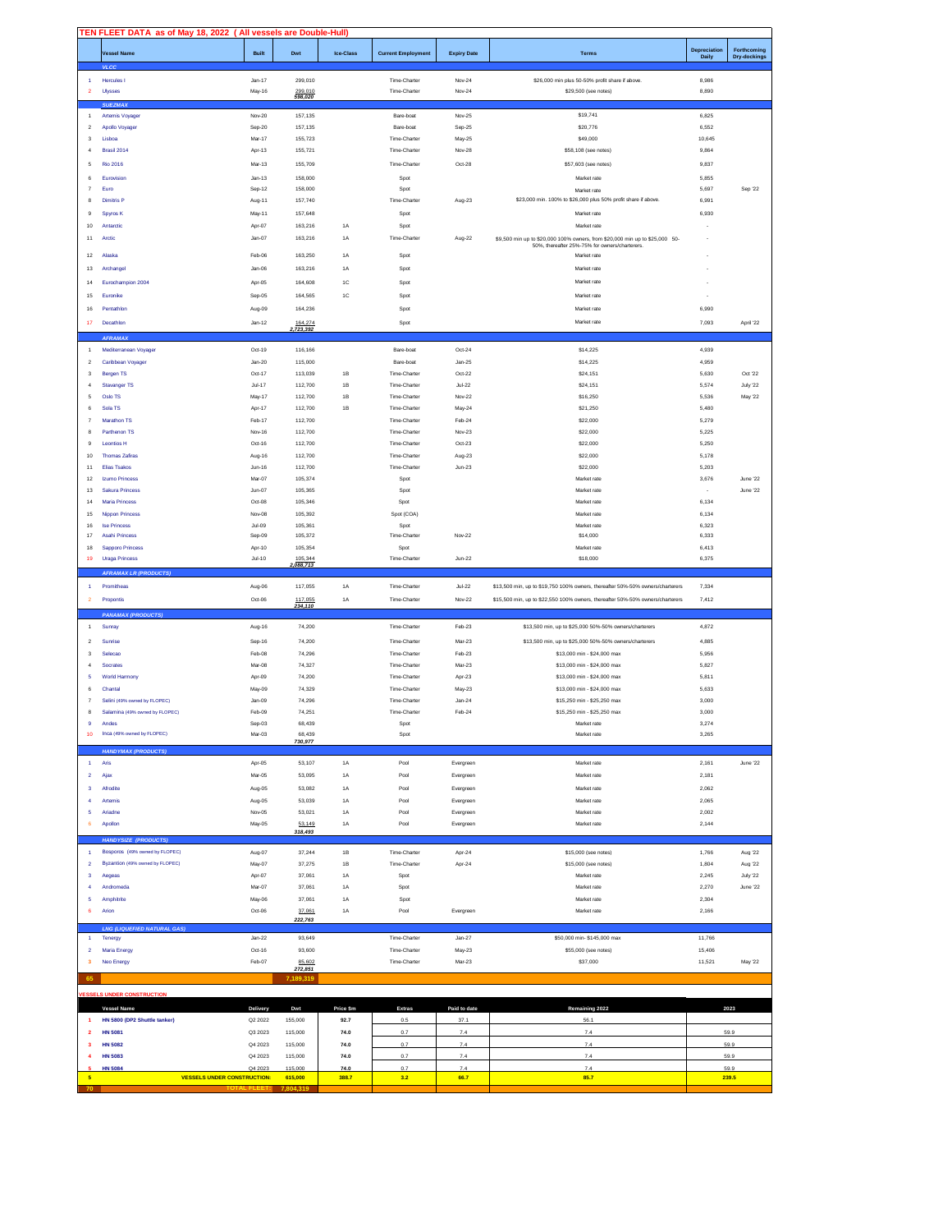|                         | TEN FLEET DATA as of May 18, 2022 (All vessels are Double-Hull) |                    |                      |               |                              |                    |                                                                                                                                |                |                |
|-------------------------|-----------------------------------------------------------------|--------------------|----------------------|---------------|------------------------------|--------------------|--------------------------------------------------------------------------------------------------------------------------------|----------------|----------------|
|                         | Vessel Name                                                     | <b>Built</b>       | Dwt                  | Ice-Class     | <b>Current Employment</b>    | <b>Expiry Date</b> | <b>Terms</b>                                                                                                                   | Depreciation   | Forthcoming    |
|                         | <b>VLCC</b>                                                     |                    |                      |               |                              |                    |                                                                                                                                | Daily          | Dry-dockings   |
|                         |                                                                 |                    |                      |               |                              |                    |                                                                                                                                |                |                |
| 1<br>$\overline{2}$     | Hercules I<br>Ulysses                                           | $Jan-17$<br>May-16 | 299,010              |               | Time-Charter<br>Time-Charter | Nov-24<br>Nov-24   | \$26,000 min plus 50-50% profit share if above<br>\$29,500 (see notes)                                                         | 8,986<br>8,890 |                |
|                         |                                                                 |                    | 299,010<br>598,020   |               |                              |                    |                                                                                                                                |                |                |
|                         | <b>SUEZMA</b>                                                   |                    |                      |               |                              |                    |                                                                                                                                |                |                |
| $\overline{1}$          | Artemis Voyager                                                 | Nov-20             | 157,135              |               | Bare-boat                    | Nov-25             | \$19,741                                                                                                                       | 6,825          |                |
| $\,$ 2 $\,$             | Apollo Voyager                                                  | Sep-20             | 157,135              |               | Bare-boat                    | Sep-25             | \$20,776                                                                                                                       | 6,552          |                |
| $\mathbf{3}$            | Lisboa                                                          | Mar-17             | 155,723              |               | Time-Charter                 | May-25             | \$49,000                                                                                                                       | 10,645         |                |
| $\overline{4}$          | Brasil 2014                                                     | Apr-13             | 155,721              |               | Time-Charter                 | Nov-28             | \$58,108 (see notes)                                                                                                           | 9,864          |                |
| 5                       | <b>Rio 2016</b>                                                 | Mar-13             | 155,709              |               | Time-Charter                 | Oct-28             | \$57,603 (see notes)                                                                                                           | 9,837          |                |
| 6                       | Eurovision                                                      | $Jan-13$           | 158,000              |               | Spot                         |                    | Market rate                                                                                                                    | 5,855          |                |
| $\overline{7}$          | Euro                                                            | Sep-12             | 158,000              |               | Spot                         |                    | Market rate                                                                                                                    | 5.697          | Sep '22        |
| 8                       | <b>Dimitris P</b>                                               | Aug-11             | 157,740              |               | Time-Charter                 | Aug-23             | \$23,000 min. 100% to \$26,000 plus 50% profit share if above.                                                                 | 6,991          |                |
| 9                       | Spyros K                                                        | May-11             | 157,648              |               | Spot                         |                    | Market rate                                                                                                                    | 6,930          |                |
| 10                      | Antarctic                                                       | Apr-07             | 163,216              | $1A$          | Spot                         |                    | Market rate                                                                                                                    |                |                |
| 11                      | Arctic                                                          | $Jan-07$           | 163,216              | 1A            | Time-Charter                 | Aug-22             |                                                                                                                                |                |                |
|                         |                                                                 |                    |                      |               |                              |                    | \$9,500 min up to \$20,000 100% owners, from \$20,000 min up to \$25,000 50-<br>50%, thereafter 25%-75% for owners/charterers. |                |                |
| 12                      | Alaska                                                          | Feb-06             | 163,250              | 1A            | Spot                         |                    | Market rate                                                                                                                    |                |                |
| 13                      | Archangel                                                       | $Jan-06$           | 163,216              | <b>1A</b>     | Spot                         |                    | Market rate                                                                                                                    |                |                |
| 14                      | Eurochampion 2004                                               | Apr-05             | 164,608              | 1C            | Spot                         |                    | Market rate                                                                                                                    |                |                |
| 15                      | Euronike                                                        |                    |                      | 1C            |                              |                    |                                                                                                                                |                |                |
|                         |                                                                 | Sep-05             | 164,565              |               | Spot                         |                    | Market rate                                                                                                                    |                |                |
| 16                      | Pentathlon                                                      | Aug-09             | 164,236              |               | Spot                         |                    | Market rate                                                                                                                    | 6,990          |                |
| $17\,$                  | Decathlon                                                       | $Jan-12$           | 164,274              |               | Spot                         |                    | Market rate                                                                                                                    | 7,093          | April '22      |
|                         | AFRAMAX                                                         |                    | ,723,392             |               |                              |                    |                                                                                                                                |                |                |
| $\overline{1}$          | Mediterranean Voyager                                           | Oct-19             | 116,166              |               | Bare-boat                    | Oct-24             | \$14,225                                                                                                                       | 4.939          |                |
| $\overline{2}$          | Caribbean Voyager                                               | $Jan-20$           | 115,000              |               | Bare-boat                    | $Jan-25$           | \$14,225                                                                                                                       | 4.959          |                |
|                         |                                                                 | Oct-17             | 113,039              | 1B            | Time-Charter                 |                    | \$24.151                                                                                                                       |                | Oct '22        |
| 3<br>$\overline{4}$     | Bergen TS<br>Stavanger TS                                       | $Jul-17$           | 112,700              | $1\mathsf{B}$ | Time-Charter                 | Oct-22<br>$Jul-22$ | \$24,151                                                                                                                       | 5.630<br>5,574 | July '22       |
|                         |                                                                 |                    |                      |               |                              |                    |                                                                                                                                |                |                |
| 5                       | Oslo TS                                                         | May-17             | 112,700              | 1B            | Time-Charter                 | Nov-22             | \$16,250                                                                                                                       | 5,536          | May '22        |
| 6                       | Sola TS                                                         | Apr-17             | 112,700              | 1B            | Time-Charter                 | May-24             | \$21.250                                                                                                                       | 5.480          |                |
| $\overline{7}$          | Marathon TS                                                     | Feb-17             | 112,700              |               | Time-Charter                 | Feb-24             | \$22,000                                                                                                                       | 5,279          |                |
| 8                       | Parthenon TS                                                    | Nov-16             | 112,700              |               | Time-Charter                 | Nov-23             | \$22,000                                                                                                                       | 5.225          |                |
| 9                       | Leontios H                                                      | Oct-16             | 112,700              |               | Time-Charter                 | $Oct-23$           | \$22,000                                                                                                                       | 5.250          |                |
| 10                      | <b>Thomas Zafiras</b>                                           | Aug-16             | 112,700              |               | Time-Charter                 | Aug-23             | \$22,000                                                                                                                       | 5.178          |                |
| 11                      | Elias Tsakos                                                    | $Jun-16$           | 112,700              |               | Time-Charter                 | $Jun-23$           | \$22,000                                                                                                                       | 5.203          |                |
| 12                      | <b>Izumo Princess</b>                                           | Mar-07             | 105,374              |               | Spot                         |                    | Market rate                                                                                                                    | 3.676          | June '22       |
| 13                      | Sakura Princess                                                 | $Jun-07$           | 105,365              |               | Spot                         |                    | Market rate                                                                                                                    |                | June '22       |
| 14                      | Maria Princess                                                  | Oct-08             | 105,346              |               | Spot                         |                    | Market rate                                                                                                                    | 6.134          |                |
| 15                      | <b>Nippon Princess</b>                                          | Nov-08             | 105,392              |               | Spot (COA)                   |                    | Market rate                                                                                                                    | 6,134          |                |
| 16                      | <b>Ise Princess</b>                                             | Jul-09             | 105,361              |               | Spot                         |                    | Market rate                                                                                                                    | 6.323          |                |
| 17                      | Asahi Princess                                                  | Sep-09             | 105,372              |               | Time-Charter                 | Nov-22             | \$14,000                                                                                                                       | 6,333          |                |
| 18                      | Sapporo Princess                                                | Apr-10             | 105,354              |               | Spot                         |                    | Market rate                                                                                                                    | 6,413          |                |
|                         | <b>Uraga Princess</b>                                           | $Jul-10$           |                      |               | Time-Charter                 | $Jun-22$           |                                                                                                                                |                |                |
| 19                      |                                                                 |                    |                      |               |                              |                    | \$18,000                                                                                                                       | 6,375          |                |
|                         |                                                                 |                    | 105,344<br>2,088,713 |               |                              |                    |                                                                                                                                |                |                |
|                         | <b>AFRAMAX LR (PRODUCTS)</b>                                    |                    |                      |               |                              |                    |                                                                                                                                |                |                |
| $\overline{1}$          | Promitheas                                                      | Aug-06             | 117,055              | 1A            | Time-Charter                 | $Jul-22$           | \$13,500 min, up to \$19,750 100% owners, thereafter 50%-50% owners/charterers                                                 | 7,334          |                |
| $\overline{2}$          | Propontis                                                       | Oct-06             | 117,055<br>234,110   | $1A$          | Time-Charter                 | Nov-22             | \$15,500 min, up to \$22,550 100% owners, thereafter 50%-50% owners/charterers                                                 | 7,412          |                |
|                         | <b>PANAMAX (PRODUCTS)</b>                                       |                    |                      |               |                              |                    |                                                                                                                                |                |                |
| $\overline{1}$          | Sunray                                                          | Aug-16             | 74,200               |               | Time-Charter                 | Feb-23             | \$13,500 min, up to \$25,000 50%-50% owners/charterers                                                                         | 4,872          |                |
| $\overline{2}$          | Sunrise                                                         | Sep-16             | 74.200               |               | Time-Charter                 | Mar-23             | \$13,500 min, up to \$25,000 50%-50% owners/charterers                                                                         | 4.885          |                |
| $\overline{\mathbf{3}}$ | Selecao                                                         | Feb-08             | 74.296               |               | Time-Charter                 | Feb-23             | \$13,000 min - \$24,000 max                                                                                                    | 5.956          |                |
| $\overline{4}$          | Socrates                                                        | Mar-08             | 74.327               |               | Time-Charter                 | Mar-23             | \$13,000 min - \$24,000 max                                                                                                    | 5.827          |                |
| 5                       | <b>World Harmony</b>                                            | Apr-09             | 74.200               |               | Time-Charter                 | Apr-23             | \$13,000 min - \$24,000 max                                                                                                    | 5,811          |                |
| 6                       | Chantal                                                         | May-09             | 74.329               |               | Time-Charter                 | May-23             | \$13,000 min - \$24,000 max                                                                                                    | 5,633          |                |
| $\overline{7}$          | Selini (49% owned by FLOPEC)                                    | Jan-09             | 74.296               |               | Time-Charter                 | $Jan-24$           | \$15.250 min - \$25.250 max                                                                                                    | 3,000          |                |
| 8                       | Salamina (49% owned by FLOPEC)                                  | Feb-09             | 74.251               |               | Time-Charter                 | Feb-24             | \$15,250 min - \$25,250 max                                                                                                    | 3,000          |                |
|                         | Andes                                                           |                    |                      |               | Spot                         |                    |                                                                                                                                |                |                |
|                         |                                                                 | Sep-03             | 68,439               |               |                              |                    | Market rate<br>Market rate                                                                                                     | 3,274          |                |
|                         | 10 Inca (49% owned by FLOPEC)                                   | Mar-03             | 68,439<br>730,977    |               | Spot                         |                    |                                                                                                                                | 3,265          |                |
|                         | <b>HANDYMAX (PRODUCTS)</b>                                      |                    |                      |               |                              |                    |                                                                                                                                |                |                |
| $\mathbf{1}$            | Aris                                                            | Apr-05             | 53,107               | $1A$          | Pool                         | Evergreen          | Market rate                                                                                                                    | 2,161          | June '22       |
| $\overline{2}$          | Ajax                                                            | Mar-05             | 53,095               | 1A            | Pool                         | Evergreen          | Market rate                                                                                                                    | 2.181          |                |
| 3                       | Afrodite                                                        | Aug-05             | 53.082               | 1A            | Pool                         | Evergreen          | Market rate                                                                                                                    | 2.062          |                |
| $\overline{4}$          | Artemis                                                         | Aug-05             | 53,039               | 1A            | Pool                         | Evergreen          | Market rate                                                                                                                    | 2.065          |                |
| 5                       | Ariadne                                                         | Nov-05             | 53.021               | 1A            | Pool                         | Evergreen          | Market rate                                                                                                                    | 2.002          |                |
| 6                       | Apollon                                                         | May-05             | 53,149               | 1A            | Pool                         | Evergreen          | Market rate                                                                                                                    | 2,144          |                |
|                         |                                                                 |                    | 318,493              |               |                              |                    |                                                                                                                                |                |                |
|                         | <b>HANDYSIZE (PRODUCTS)</b>                                     |                    |                      |               |                              |                    |                                                                                                                                |                |                |
| $\overline{1}$          | Bosporos (49% owned by FLOPEC)                                  | Aug-07             | 37,244               | $1\mathrm{B}$ | Time-Charter                 | Apr-24             | \$15,000 (see notes)                                                                                                           | 1,766          | Aug '22        |
| $\overline{2}$          | Byzantion (49% owned by FLOPEC)                                 | May-07             | 37.275               | 1B            | Time-Charter                 | Apr-24             | \$15,000 (see notes)                                                                                                           | 1,804          | Aug '22        |
| $\mathbf 3$             | Aegeas                                                          | Apr-07             | 37,061               | 1A            | Spot                         |                    | Market rate                                                                                                                    | 2,245          | July '22       |
| $\overline{\mathbf{4}}$ | Andromeda                                                       | Mar-07             | 37,061               | 1A            | Spot                         |                    | Market rate                                                                                                                    | 2,270          | June '22       |
| 5                       | Amphitrite                                                      | May-06             | 37,061               | 1A            | Spot                         |                    | Market rate                                                                                                                    | 2,304          |                |
| $\epsilon$              | Arion                                                           | Oct-06             | 37,061               | 1A            | Pool                         | Evergreen          | Market rate                                                                                                                    | 2,166          |                |
|                         |                                                                 |                    | 222,763              |               |                              |                    |                                                                                                                                |                |                |
|                         | <b>LNG (LIQUEFIED NATURAL GAS)</b>                              |                    |                      |               |                              |                    |                                                                                                                                |                |                |
| $\overline{1}$          | Tenergy                                                         | $Jan-22$           | 93,649               |               | Time-Charter                 | $Jan-27$           | \$50,000 min-\$145,000 max                                                                                                     | 11,766         |                |
| $\mathbf 2$             | <b>Maria Energy</b>                                             | Oct-16             | 93,600               |               | Time-Charter                 | May-23             | \$55,000 (see notes)                                                                                                           | 15,406         |                |
| $\overline{\mathbf{3}}$ | Neo Energy                                                      | Feb-07             | 85,602               |               | Time-Charter                 | Mar-23             | \$37,000                                                                                                                       | 11,521         | <b>May '22</b> |
| 65                      |                                                                 |                    | 272,851<br>7.189.319 |               |                              |                    |                                                                                                                                |                |                |
|                         | <b>VESSELS UNDER CONSTRUCTION</b>                               |                    |                      |               |                              |                    |                                                                                                                                |                |                |
|                         |                                                                 |                    |                      |               |                              |                    |                                                                                                                                |                |                |
|                         | <b>Vessel Name</b>                                              | Delivery           | Dwt                  | Price \$m     | Extras                       | Paid to date       | Remaining 2022                                                                                                                 |                | 2023           |
| $\overline{1}$          | HN 5800 (DP2 Shuttle tanker)                                    | Q2 2022            | 155,000              | 92.7          | 0.5                          | 37.1               | 56.1                                                                                                                           |                |                |
| $\overline{\mathbf{2}}$ | <b>HN 5081</b>                                                  | Q3 2023            | 115,000              | 74.0          | 0.7                          | 7.4                | 7.4                                                                                                                            |                | 59.9           |
| $\overline{\mathbf{3}}$ | <b>HN 5082</b>                                                  | Q4 2023            | 115,000              | 74.0          | 0.7                          | 7.4                | 7.4                                                                                                                            |                | 59.9           |
| $\boldsymbol{4}$        | <b>HN 5083</b>                                                  | Q4 2023            | 115,000              | 74.0          | 0.7                          | 7.4                | 7.4                                                                                                                            |                | 59.9           |
| $\sqrt{5}$              | <b>HN 5084</b><br><b>VESSELS UNDER CONSTRUCTION:</b>            | Q4 2023            | 115,000<br>615,000   | 74.0<br>388.7 | 0.7<br>3.2                   | 7.4<br>66.7        | 7.4<br>85.7                                                                                                                    |                | 59.9<br>239.5  |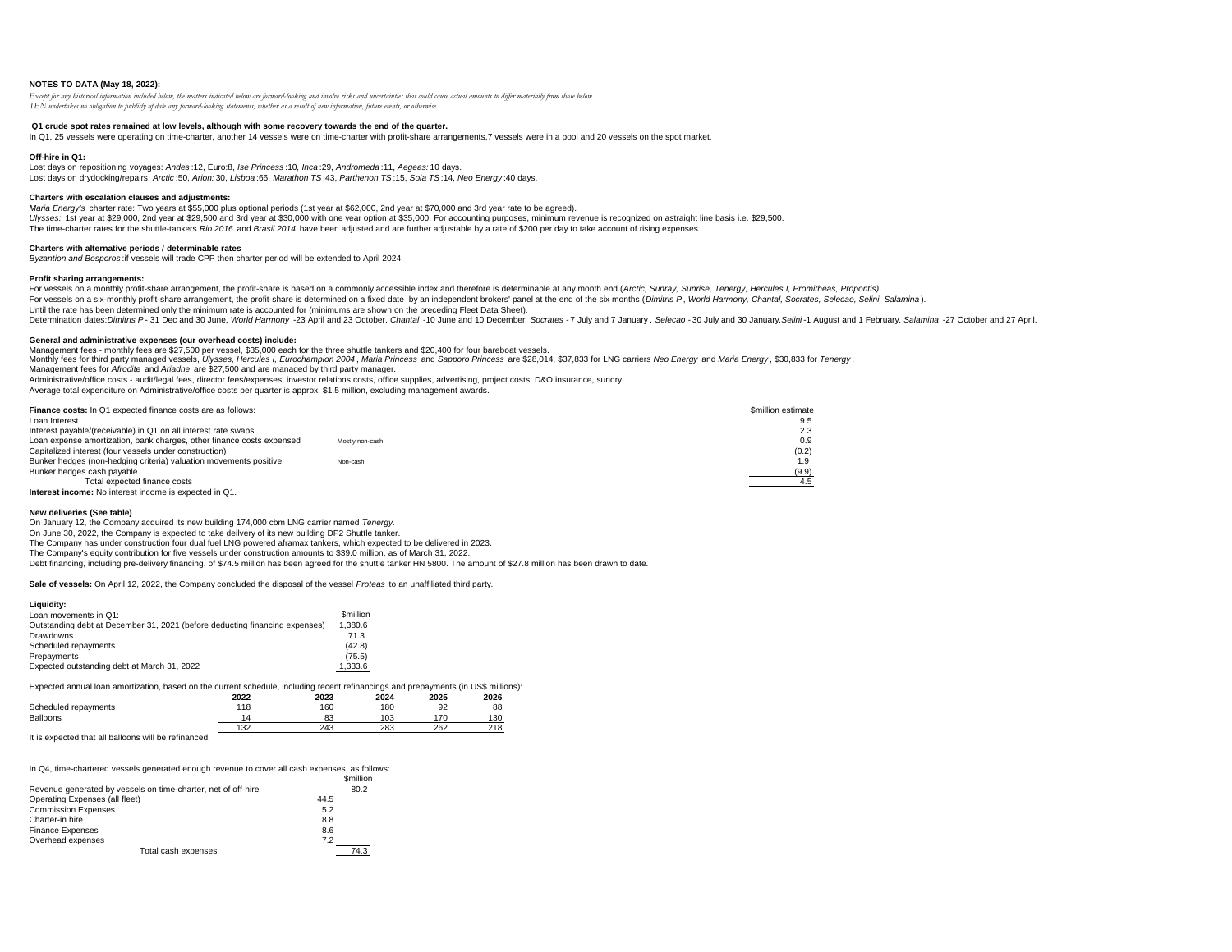# **NOTES TO DATA (May 18, 2022):**

*Except for any historical information included below, the matters indicated below are forward-looking and involve risks and uncertainties that could cause actual amounts to differ materially from those below. TEN undertakes no obligation to publicly update any forward-looking statements, whether as a result of new information, future events, or otherwise.*

# **Q1 crude spot rates remained at low levels, although with some recovery towards the end of the quarter.**

In Q1, 25 vessels were operating on time-charter, another 14 vessels were on time-charter with profit-share arrangements,7 vessels were in a pool and 20 vessels on the spot market.

# **Off-hire in Q1:**

Lost days on repositioning voyages: *Andes* :12, Euro:8, *Ise Princess* :10*, Inca* :29, *Andromeda* :11, *Aegeas:* 10 days. Lost days on drydocking/repairs: *Arctic* :50, *Arion:* 30, *Lisboa* :66, *Marathon TS* :43, *Parthenon TS* :15, *Sola TS* :14, *Neo Energy* :40 days.

### **Charters with escalation clauses and adjustments:**

*Maria Energy's* charter rate: Two years at \$55,000 plus optional periods (1st year at \$62,000, 2nd year at \$70,000 and 3rd year rate to be agreed). Ulysses: 1st year at \$29,000, 2nd year at \$29,500 and 3rd year at \$30,000 with one year option at \$35,000. For accounting purposes, minimum revenue is recognized on astraight line basis i.e. \$29,500. The time-charter rates for the shuttle-tankers *Rio 2016* and *Brasil 2014* have been adjusted and are further adjustable by a rate of \$200 per day to take account of rising expenses.

#### **Charters with alternative periods / determinable rates**

*Byzantion and Bosporos* :if vessels will trade CPP then charter period will be extended to April 2024*.*

# **Profit sharing arrangements:**

For vessels on a monthly profit-share arrangement, the profit-share is based on a commonly accessible index and therefore is determinable at any month end (Arctic, Sunray, Sunrise, Tenergy, Hercules I, Promitheas, Proponti For vessels on a six-monthly profit-share arrangement, the profit-share is determined on a fixed date by an independent brokers' panel at the end of the six months (Dimitris P. World Harmony, Chantal, Socrates, Selecao, Se Until the rate has been determined only the minimum rate is accounted for (minimums are shown on the preceding Fleet Data Sheet). Determination dates: Dimitris P-31 Dec and 30 June, World Harmony -23 April and 23 October. Chantal -10 June and 10 December. Socrates -7 July and 7 January. Selecao -30 July and 30 January. Selini-1 August and 1 February.

# **General and administrative expenses (our overhead costs) include:**

Management fees - monthly fees are \$27,500 per vessel, \$35,000 each for the three shuttle tankers and \$20,400 for four bareboat vessels.

Monthly fees for third party managed vessels, Ulysses, Hercules I, Eurochampion 2004, Maria Princess and Sapporo Princess are \$28,014, \$37,833 for LNG carriers Neo Energy and Maria Energy. \$30,833 for Tenergy. Management fees for *Afrodite* and *Ariadne* are \$27,500 and are managed by third party manager.

Administrative/office costs - audit/legal fees, director fees/expenses, investor relations costs, office supplies, advertising, project costs, D&O insurance, sundry.

Average total expenditure on Administrative/office costs per quarter is approx. \$1.5 million, excluding management awards.

| <b>Finance costs:</b> In Q1 expected finance costs are as follows:    |                 | <b>Smillion estimate</b> |
|-----------------------------------------------------------------------|-----------------|--------------------------|
| Loan Interest                                                         |                 | 9.5                      |
| Interest payable/(receivable) in Q1 on all interest rate swaps        |                 | 2.3                      |
| Loan expense amortization, bank charges, other finance costs expensed | Mostly non-cash | 0.9                      |
| Capitalized interest (four vessels under construction)                |                 | (0.2)                    |
| Bunker hedges (non-hedging criteria) valuation movements positive     | Non-cash        | 1.9                      |
| Bunker hedges cash payable                                            |                 | (9.9)                    |
| Total expected finance costs                                          |                 |                          |
| <b>Interest income:</b> No interest income is expected in Q1.         |                 |                          |

#### **New deliveries (See table)**

On January 12, the Company acquired its new building 174,000 cbm LNG carrier named *Tenergy.*  On June 30, 2022, the Company is expected to take deilvery of its new building DP2 Shuttle tanker. The Company has under construction four dual fuel LNG powered aframax tankers, which expected to be delivered in 2023. The Company's equity contribution for five vessels under construction amounts to \$39.0 million, as of March 31, 2022. Debt financing, including pre-delivery financing, of \$74.5 million has been agreed for the shuttle tanker HN 5800. The amount of \$27.8 million has been drawn to date.

**Sale of vessels:** On April 12, 2022, the Company concluded the disposal of the vessel *Proteas* to an unaffiliated third party.

| Liauidity:                                                                  |                               |
|-----------------------------------------------------------------------------|-------------------------------|
| Loan movements in Q1:                                                       | <b><i><u>Smillion</u></i></b> |
| Outstanding debt at December 31, 2021 (before deducting financing expenses) | 1.380.6                       |
| Drawdowns                                                                   | 71.3                          |
| Scheduled repayments                                                        | (42.8)                        |
| Prepayments                                                                 | (75.5)                        |
| Expected outstanding debt at March 31, 2022                                 | 1,333.6                       |

Expected annual loan amortization, based on the current schedule, including recent refinancings and prepayments (in US\$ millions):

|                      | 2022 | 2023 | 2024 | 2025 | 2026 |
|----------------------|------|------|------|------|------|
| Scheduled repayments | 118  | 160  | 180  | 92   | 88   |
| Balloons             |      | 83   | 103  | 170  | 130  |
|                      | 132  | 243  | 283  | 262  | 218  |

It is expected that all balloons will be refinanced.

In Q4, time-chartered vessels generated enough revenue to cover all cash expenses, as follows:

|                                                               | <b><i><u>Smillion</u></i></b> |  |
|---------------------------------------------------------------|-------------------------------|--|
| Revenue generated by vessels on time-charter, net of off-hire | 80.2                          |  |
| Operating Expenses (all fleet)                                | 44.5                          |  |
| <b>Commission Expenses</b>                                    | 5.2                           |  |
| Charter-in hire                                               | 8.8                           |  |
| <b>Finance Expenses</b>                                       | 8.6                           |  |
| Overhead expenses                                             | 7.2                           |  |
| Total cash expenses                                           | 74.3                          |  |